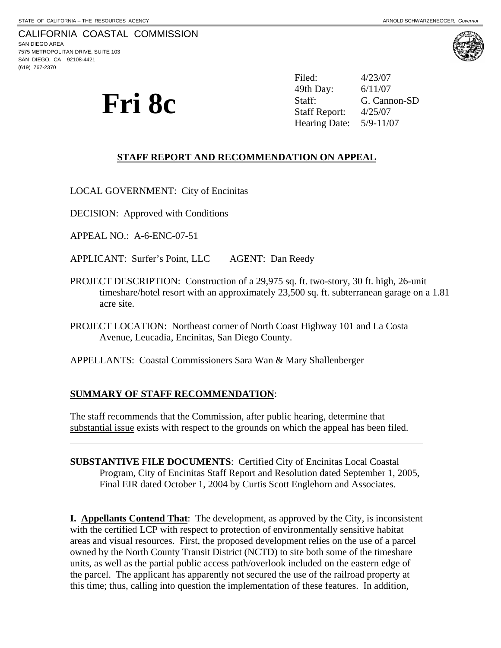$\overline{a}$ 

 $\overline{a}$ 

 $\overline{a}$ 

**Fri 8c**  $\sum_{\text{Staff:}}$   $\text{S}(\text{S}, \text{Cannon-SD})$ <br>Staff: G. Cannon-SD<br>Staff Report:  $\frac{4}{25/07}$ <br>Hearing Date:  $\frac{5}{9}\cdot\frac{11}{07}$ Filed: 4/23/07 49th Day: Staff Report: Hearing Date:

### **STAFF REPORT AND RECOMMENDATION ON APPEAL**

LOCAL GOVERNMENT: City of Encinitas

DECISION: Approved with Conditions

APPEAL NO.: A-6-ENC-07-51

APPLICANT: Surfer's Point, LLC AGENT: Dan Reedy

- PROJECT DESCRIPTION: Construction of a 29,975 sq. ft. two-story, 30 ft. high, 26-unit timeshare/hotel resort with an approximately 23,500 sq. ft. subterranean garage on a 1.81 acre site.
- PROJECT LOCATION: Northeast corner of North Coast Highway 101 and La Costa Avenue, Leucadia, Encinitas, San Diego County.

APPELLANTS: Coastal Commissioners Sara Wan & Mary Shallenberger

#### **SUMMARY OF STAFF RECOMMENDATION**:

The staff recommends that the Commission, after public hearing, determine that substantial issue exists with respect to the grounds on which the appeal has been filed.

**SUBSTANTIVE FILE DOCUMENTS**: Certified City of Encinitas Local Coastal Program, City of Encinitas Staff Report and Resolution dated September 1, 2005, Final EIR dated October 1, 2004 by Curtis Scott Englehorn and Associates.

**I. Appellants Contend That**: The development, as approved by the City, is inconsistent with the certified LCP with respect to protection of environmentally sensitive habitat areas and visual resources. First, the proposed development relies on the use of a parcel owned by the North County Transit District (NCTD) to site both some of the timeshare units, as well as the partial public access path/overlook included on the eastern edge of the parcel. The applicant has apparently not secured the use of the railroad property at this time; thus, calling into question the implementation of these features. In addition,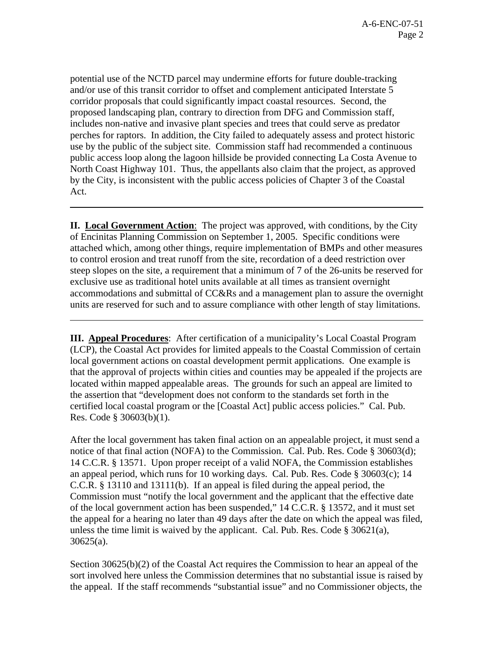potential use of the NCTD parcel may undermine efforts for future double-tracking and/or use of this transit corridor to offset and complement anticipated Interstate 5 corridor proposals that could significantly impact coastal resources. Second, the proposed landscaping plan, contrary to direction from DFG and Commission staff, includes non-native and invasive plant species and trees that could serve as predator perches for raptors. In addition, the City failed to adequately assess and protect historic use by the public of the subject site. Commission staff had recommended a continuous public access loop along the lagoon hillside be provided connecting La Costa Avenue to North Coast Highway 101. Thus, the appellants also claim that the project, as approved by the City, is inconsistent with the public access policies of Chapter 3 of the Coastal Act.

l

l

**II. Local Government Action**: The project was approved, with conditions, by the City of Encinitas Planning Commission on September 1, 2005. Specific conditions were attached which, among other things, require implementation of BMPs and other measures to control erosion and treat runoff from the site, recordation of a deed restriction over steep slopes on the site, a requirement that a minimum of 7 of the 26-units be reserved for exclusive use as traditional hotel units available at all times as transient overnight accommodations and submittal of CC&Rs and a management plan to assure the overnight units are reserved for such and to assure compliance with other length of stay limitations.

**III. Appeal Procedures**: After certification of a municipality's Local Coastal Program (LCP), the Coastal Act provides for limited appeals to the Coastal Commission of certain local government actions on coastal development permit applications. One example is that the approval of projects within cities and counties may be appealed if the projects are located within mapped appealable areas. The grounds for such an appeal are limited to the assertion that "development does not conform to the standards set forth in the certified local coastal program or the [Coastal Act] public access policies." Cal. Pub. Res. Code § 30603(b)(1).

After the local government has taken final action on an appealable project, it must send a notice of that final action (NOFA) to the Commission. Cal. Pub. Res. Code § 30603(d); 14 C.C.R. § 13571. Upon proper receipt of a valid NOFA, the Commission establishes an appeal period, which runs for 10 working days. Cal. Pub. Res. Code § 30603(c); 14 C.C.R. § 13110 and 13111(b). If an appeal is filed during the appeal period, the Commission must "notify the local government and the applicant that the effective date of the local government action has been suspended," 14 C.C.R. § 13572, and it must set the appeal for a hearing no later than 49 days after the date on which the appeal was filed, unless the time limit is waived by the applicant. Cal. Pub. Res. Code § 30621(a), 30625(a).

Section 30625(b)(2) of the Coastal Act requires the Commission to hear an appeal of the sort involved here unless the Commission determines that no substantial issue is raised by the appeal. If the staff recommends "substantial issue" and no Commissioner objects, the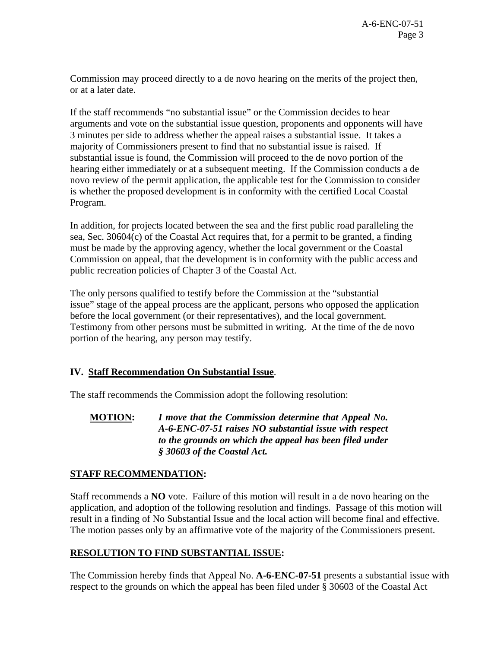Commission may proceed directly to a de novo hearing on the merits of the project then, or at a later date.

If the staff recommends "no substantial issue" or the Commission decides to hear arguments and vote on the substantial issue question, proponents and opponents will have 3 minutes per side to address whether the appeal raises a substantial issue. It takes a majority of Commissioners present to find that no substantial issue is raised. If substantial issue is found, the Commission will proceed to the de novo portion of the hearing either immediately or at a subsequent meeting. If the Commission conducts a de novo review of the permit application, the applicable test for the Commission to consider is whether the proposed development is in conformity with the certified Local Coastal Program.

In addition, for projects located between the sea and the first public road paralleling the sea, Sec. 30604(c) of the Coastal Act requires that, for a permit to be granted, a finding must be made by the approving agency, whether the local government or the Coastal Commission on appeal, that the development is in conformity with the public access and public recreation policies of Chapter 3 of the Coastal Act.

The only persons qualified to testify before the Commission at the "substantial issue" stage of the appeal process are the applicant, persons who opposed the application before the local government (or their representatives), and the local government. Testimony from other persons must be submitted in writing. At the time of the de novo portion of the hearing, any person may testify.

## **IV. Staff Recommendation On Substantial Issue**.

The staff recommends the Commission adopt the following resolution:

**MOTION:** *I move that the Commission determine that Appeal No. A-6-ENC-07-51 raises NO substantial issue with respect to the grounds on which the appeal has been filed under § 30603 of the Coastal Act.*

## **STAFF RECOMMENDATION:**

 $\overline{a}$ 

Staff recommends a **NO** vote. Failure of this motion will result in a de novo hearing on the application, and adoption of the following resolution and findings. Passage of this motion will result in a finding of No Substantial Issue and the local action will become final and effective. The motion passes only by an affirmative vote of the majority of the Commissioners present.

## **RESOLUTION TO FIND SUBSTANTIAL ISSUE:**

The Commission hereby finds that Appeal No. **A-6-ENC-07-51** presents a substantial issue with respect to the grounds on which the appeal has been filed under § 30603 of the Coastal Act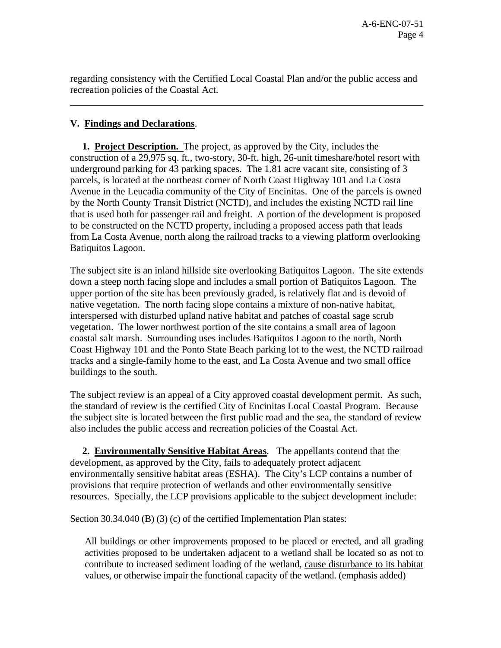regarding consistency with the Certified Local Coastal Plan and/or the public access and recreation policies of the Coastal Act.

# **V. Findings and Declarations**.

l

 **1. Project Description.** The project, as approved by the City, includes the construction of a 29,975 sq. ft., two-story, 30-ft. high, 26-unit timeshare/hotel resort with underground parking for 43 parking spaces. The 1.81 acre vacant site, consisting of 3 parcels, is located at the northeast corner of North Coast Highway 101 and La Costa Avenue in the Leucadia community of the City of Encinitas. One of the parcels is owned by the North County Transit District (NCTD), and includes the existing NCTD rail line that is used both for passenger rail and freight. A portion of the development is proposed to be constructed on the NCTD property, including a proposed access path that leads from La Costa Avenue, north along the railroad tracks to a viewing platform overlooking Batiquitos Lagoon.

The subject site is an inland hillside site overlooking Batiquitos Lagoon. The site extends down a steep north facing slope and includes a small portion of Batiquitos Lagoon. The upper portion of the site has been previously graded, is relatively flat and is devoid of native vegetation. The north facing slope contains a mixture of non-native habitat, interspersed with disturbed upland native habitat and patches of coastal sage scrub vegetation. The lower northwest portion of the site contains a small area of lagoon coastal salt marsh. Surrounding uses includes Batiquitos Lagoon to the north, North Coast Highway 101 and the Ponto State Beach parking lot to the west, the NCTD railroad tracks and a single-family home to the east, and La Costa Avenue and two small office buildings to the south.

The subject review is an appeal of a City approved coastal development permit. As such, the standard of review is the certified City of Encinitas Local Coastal Program. Because the subject site is located between the first public road and the sea, the standard of review also includes the public access and recreation policies of the Coastal Act.

 **2. Environmentally Sensitive Habitat Areas**. The appellants contend that the development, as approved by the City, fails to adequately protect adjacent environmentally sensitive habitat areas (ESHA). The City's LCP contains a number of provisions that require protection of wetlands and other environmentally sensitive resources. Specially, the LCP provisions applicable to the subject development include:

Section 30.34.040 (B) (3) (c) of the certified Implementation Plan states:

All buildings or other improvements proposed to be placed or erected, and all grading activities proposed to be undertaken adjacent to a wetland shall be located so as not to contribute to increased sediment loading of the wetland, cause disturbance to its habitat values, or otherwise impair the functional capacity of the wetland. (emphasis added)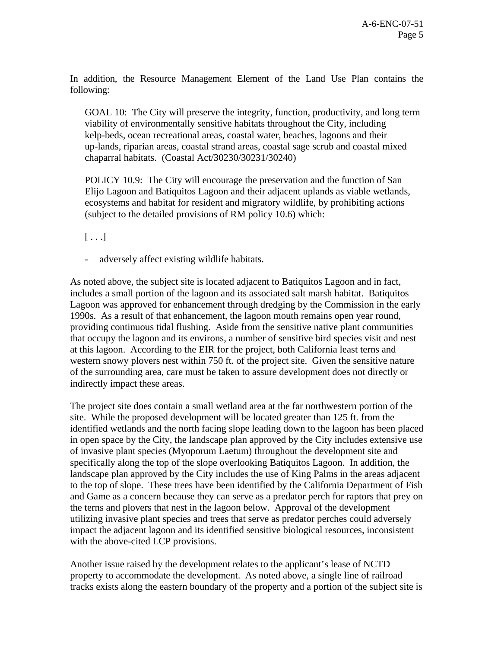In addition, the Resource Management Element of the Land Use Plan contains the following:

GOAL 10: The City will preserve the integrity, function, productivity, and long term viability of environmentally sensitive habitats throughout the City, including kelp-beds, ocean recreational areas, coastal water, beaches, lagoons and their up-lands, riparian areas, coastal strand areas, coastal sage scrub and coastal mixed chaparral habitats. (Coastal Act/30230/30231/30240)

POLICY 10.9: The City will encourage the preservation and the function of San Elijo Lagoon and Batiquitos Lagoon and their adjacent uplands as viable wetlands, ecosystems and habitat for resident and migratory wildlife, by prohibiting actions (subject to the detailed provisions of RM policy 10.6) which:

 $[\ldots]$ 

adversely affect existing wildlife habitats.

As noted above, the subject site is located adjacent to Batiquitos Lagoon and in fact, includes a small portion of the lagoon and its associated salt marsh habitat. Batiquitos Lagoon was approved for enhancement through dredging by the Commission in the early 1990s. As a result of that enhancement, the lagoon mouth remains open year round, providing continuous tidal flushing. Aside from the sensitive native plant communities that occupy the lagoon and its environs, a number of sensitive bird species visit and nest at this lagoon. According to the EIR for the project, both California least terns and western snowy plovers nest within 750 ft. of the project site. Given the sensitive nature of the surrounding area, care must be taken to assure development does not directly or indirectly impact these areas.

The project site does contain a small wetland area at the far northwestern portion of the site. While the proposed development will be located greater than 125 ft. from the identified wetlands and the north facing slope leading down to the lagoon has been placed in open space by the City, the landscape plan approved by the City includes extensive use of invasive plant species (Myoporum Laetum) throughout the development site and specifically along the top of the slope overlooking Batiquitos Lagoon. In addition, the landscape plan approved by the City includes the use of King Palms in the areas adjacent to the top of slope. These trees have been identified by the California Department of Fish and Game as a concern because they can serve as a predator perch for raptors that prey on the terns and plovers that nest in the lagoon below. Approval of the development utilizing invasive plant species and trees that serve as predator perches could adversely impact the adjacent lagoon and its identified sensitive biological resources, inconsistent with the above-cited LCP provisions.

Another issue raised by the development relates to the applicant's lease of NCTD property to accommodate the development. As noted above, a single line of railroad tracks exists along the eastern boundary of the property and a portion of the subject site is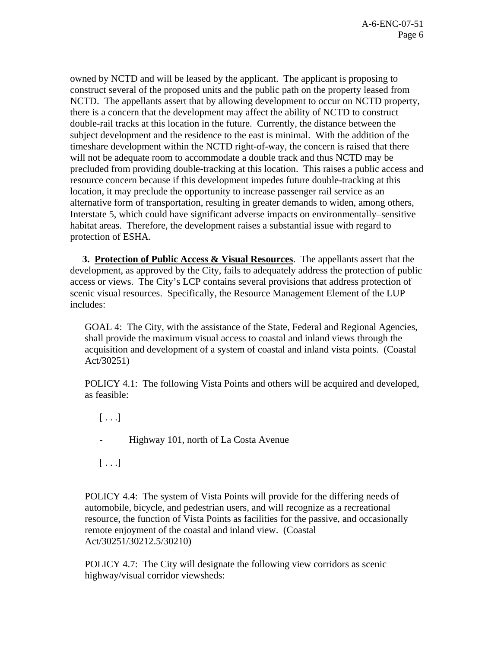owned by NCTD and will be leased by the applicant. The applicant is proposing to construct several of the proposed units and the public path on the property leased from NCTD. The appellants assert that by allowing development to occur on NCTD property, there is a concern that the development may affect the ability of NCTD to construct double-rail tracks at this location in the future. Currently, the distance between the subject development and the residence to the east is minimal. With the addition of the timeshare development within the NCTD right-of-way, the concern is raised that there will not be adequate room to accommodate a double track and thus NCTD may be precluded from providing double-tracking at this location. This raises a public access and resource concern because if this development impedes future double-tracking at this location, it may preclude the opportunity to increase passenger rail service as an alternative form of transportation, resulting in greater demands to widen, among others, Interstate 5, which could have significant adverse impacts on environmentally–sensitive habitat areas. Therefore, the development raises a substantial issue with regard to protection of ESHA.

 **3. Protection of Public Access & Visual Resources**. The appellants assert that the development, as approved by the City, fails to adequately address the protection of public access or views. The City's LCP contains several provisions that address protection of scenic visual resources. Specifically, the Resource Management Element of the LUP includes:

GOAL 4: The City, with the assistance of the State, Federal and Regional Agencies, shall provide the maximum visual access to coastal and inland views through the acquisition and development of a system of coastal and inland vista points. (Coastal Act/30251)

POLICY 4.1: The following Vista Points and others will be acquired and developed, as feasible:

 $[ \ldots ]$ 

- Highway 101, north of La Costa Avenue

 $[\ldots]$ 

POLICY 4.4: The system of Vista Points will provide for the differing needs of automobile, bicycle, and pedestrian users, and will recognize as a recreational resource, the function of Vista Points as facilities for the passive, and occasionally remote enjoyment of the coastal and inland view. (Coastal Act/30251/30212.5/30210)

POLICY 4.7: The City will designate the following view corridors as scenic highway/visual corridor viewsheds: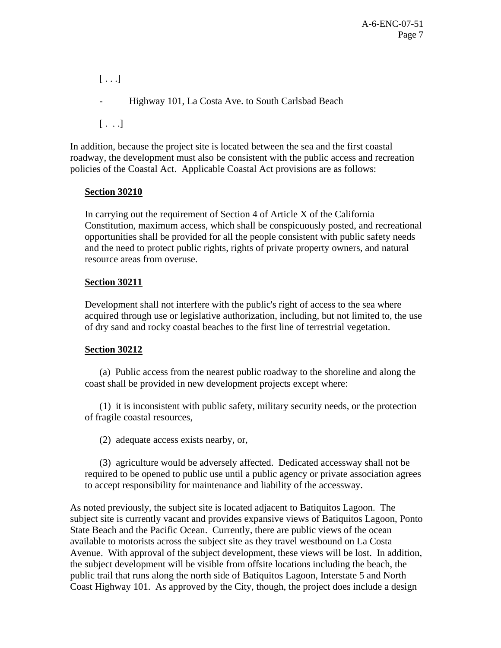$[ \ldots ]$ - Highway 101, La Costa Ave. to South Carlsbad Beach  $[\ldots]$ 

In addition, because the project site is located between the sea and the first coastal roadway, the development must also be consistent with the public access and recreation policies of the Coastal Act. Applicable Coastal Act provisions are as follows:

### **Section 30210**

In carrying out the requirement of Section 4 of Article X of the California Constitution, maximum access, which shall be conspicuously posted, and recreational opportunities shall be provided for all the people consistent with public safety needs and the need to protect public rights, rights of private property owners, and natural resource areas from overuse.

### **Section 30211**

Development shall not interfere with the public's right of access to the sea where acquired through use or legislative authorization, including, but not limited to, the use of dry sand and rocky coastal beaches to the first line of terrestrial vegetation.

#### **Section 30212**

 (a) Public access from the nearest public roadway to the shoreline and along the coast shall be provided in new development projects except where:

 (1) it is inconsistent with public safety, military security needs, or the protection of fragile coastal resources,

(2) adequate access exists nearby, or,

 (3) agriculture would be adversely affected. Dedicated accessway shall not be required to be opened to public use until a public agency or private association agrees to accept responsibility for maintenance and liability of the accessway.

As noted previously, the subject site is located adjacent to Batiquitos Lagoon. The subject site is currently vacant and provides expansive views of Batiquitos Lagoon, Ponto State Beach and the Pacific Ocean. Currently, there are public views of the ocean available to motorists across the subject site as they travel westbound on La Costa Avenue. With approval of the subject development, these views will be lost. In addition, the subject development will be visible from offsite locations including the beach, the public trail that runs along the north side of Batiquitos Lagoon, Interstate 5 and North Coast Highway 101. As approved by the City, though, the project does include a design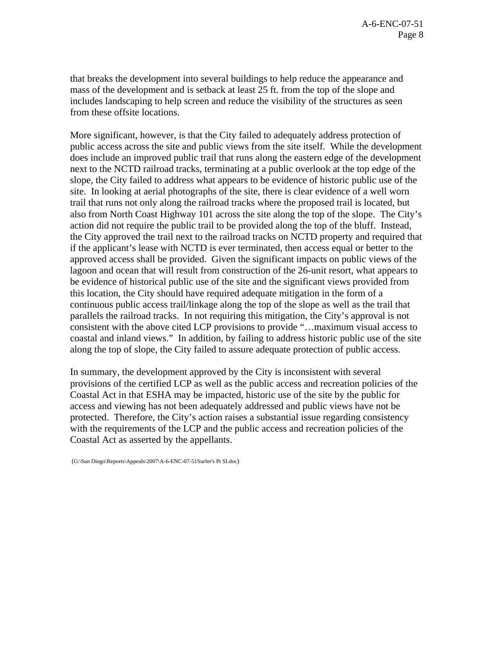that breaks the development into several buildings to help reduce the appearance and mass of the development and is setback at least 25 ft. from the top of the slope and includes landscaping to help screen and reduce the visibility of the structures as seen from these offsite locations.

More significant, however, is that the City failed to adequately address protection of public access across the site and public views from the site itself. While the development does include an improved public trail that runs along the eastern edge of the development next to the NCTD railroad tracks, terminating at a public overlook at the top edge of the slope, the City failed to address what appears to be evidence of historic public use of the site. In looking at aerial photographs of the site, there is clear evidence of a well worn trail that runs not only along the railroad tracks where the proposed trail is located, but also from North Coast Highway 101 across the site along the top of the slope. The City's action did not require the public trail to be provided along the top of the bluff. Instead, the City approved the trail next to the railroad tracks on NCTD property and required that if the applicant's lease with NCTD is ever terminated, then access equal or better to the approved access shall be provided. Given the significant impacts on public views of the lagoon and ocean that will result from construction of the 26-unit resort, what appears to be evidence of historical public use of the site and the significant views provided from this location, the City should have required adequate mitigation in the form of a continuous public access trail/linkage along the top of the slope as well as the trail that parallels the railroad tracks. In not requiring this mitigation, the City's approval is not consistent with the above cited LCP provisions to provide "…maximum visual access to coastal and inland views." In addition, by failing to address historic public use of the site along the top of slope, the City failed to assure adequate protection of public access.

In summary, the development approved by the City is inconsistent with several provisions of the certified LCP as well as the public access and recreation policies of the Coastal Act in that ESHA may be impacted, historic use of the site by the public for access and viewing has not been adequately addressed and public views have not be protected. Therefore, the City's action raises a substantial issue regarding consistency with the requirements of the LCP and the public access and recreation policies of the Coastal Act as asserted by the appellants.

(G:\San Diego\Reports\Appeals\2007\A-6-ENC-07-51Surfer's Pt SI.doc)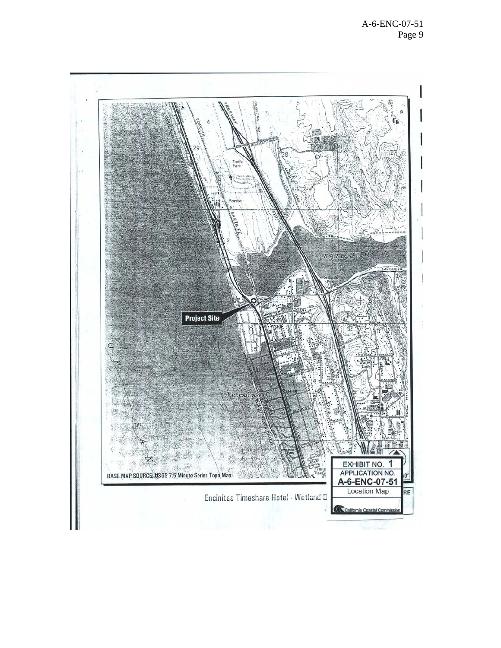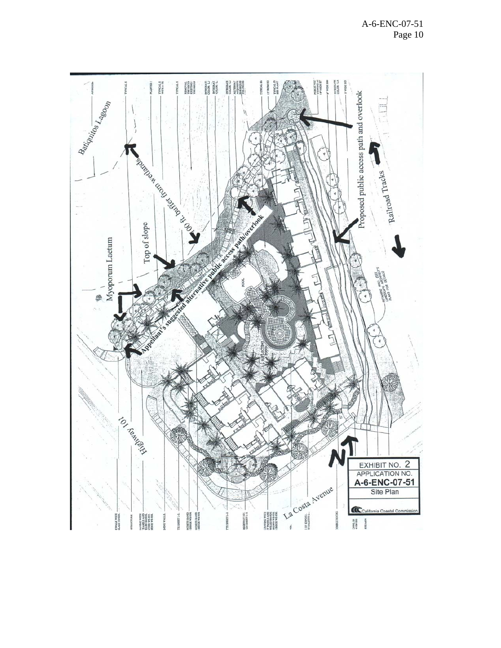